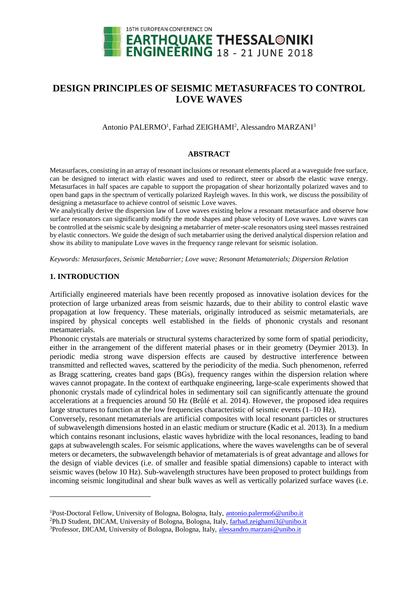

# **DESIGN PRINCIPLES OF SEISMIC METASURFACES TO CONTROL LOVE WAVES**

Antonio PALERMO<sup>1</sup>, Farhad ZEIGHAMI<sup>2</sup>, Alessandro MARZANI<sup>3</sup>

## **ABSTRACT**

Metasurfaces, consisting in an array of resonant inclusions or resonant elements placed at a waveguide free surface, can be designed to interact with elastic waves and used to redirect, steer or absorb the elastic wave energy. Metasurfaces in half spaces are capable to support the propagation of shear horizontally polarized waves and to open band gaps in the spectrum of vertically polarized Rayleigh waves. In this work, we discuss the possibility of designing a metasurface to achieve control of seismic Love waves.

We analytically derive the dispersion law of Love waves existing below a resonant metasurface and observe how surface resonators can significantly modify the mode shapes and phase velocity of Love waves. Love waves can be controlled at the seismic scale by designing a metabarrier of meter-scale resonators using steel masses restrained by elastic connectors. We guide the design of such metabarrier using the derived analytical dispersion relation and show its ability to manipulate Love waves in the frequency range relevant for seismic isolation.

*Keywords: Metasurfaces, Seismic Metabarrier; Love wave; Resonant Metamaterials; Dispersion Relation*

# **1. INTRODUCTION**

l

Artificially engineered materials have been recently proposed as innovative isolation devices for the protection of large urbanized areas from seismic hazards, due to their ability to control elastic wave propagation at low frequency. These materials, originally introduced as seismic metamaterials, are inspired by physical concepts well established in the fields of phononic crystals and resonant metamaterials.

Phononic crystals are materials or structural systems characterized by some form of spatial periodicity, either in the arrangement of the different material phases or in their geometry (Deymier 2013). In periodic media strong wave dispersion effects are caused by destructive interference between transmitted and reflected waves, scattered by the periodicity of the media. Such phenomenon, referred as Bragg scattering, creates band gaps (BGs), frequency ranges within the dispersion relation where waves cannot propagate. In the context of earthquake engineering, large-scale experiments showed that phononic crystals made of cylindrical holes in sedimentary soil can significantly attenuate the ground accelerations at a frequencies around 50 Hz (Brûlé et al. 2014). However, the proposed idea requires large structures to function at the low frequencies characteristic of seismic events  $(1-10 \text{ Hz})$ .

Conversely, resonant metamaterials are artificial composites with local resonant particles or structures of subwavelength dimensions hosted in an elastic medium or structure (Kadic et al. 2013). In a medium which contains resonant inclusions, elastic waves hybridize with the local resonances, leading to band gaps at subwavelength scales. For seismic applications, where the waves wavelengths can be of several meters or decameters, the subwavelength behavior of metamaterials is of great advantage and allows for the design of viable devices (i.e. of smaller and feasible spatial dimensions) capable to interact with seismic waves (below 10 Hz). Sub-wavelength structures have been proposed to protect buildings from incoming seismic longitudinal and shear bulk waves as well as vertically polarized surface waves (i.e.

<sup>&</sup>lt;sup>1</sup>Post-Doctoral Fellow, University of Bologna, Bologna, Italy, *antonio.palermo6@unibo.it* <sup>2</sup>Ph.D Student, DICAM, University of Bologna, Bologna, Italy, [farhad.zeighami3@unibo.it](mailto:farhad.zeighami3@unibo.it) 3Professor, DICAM, University of Bologna, Bologna, Italy, [alessandro.marzani@unibo.it](mailto:alessandro.marzani@unibo.it)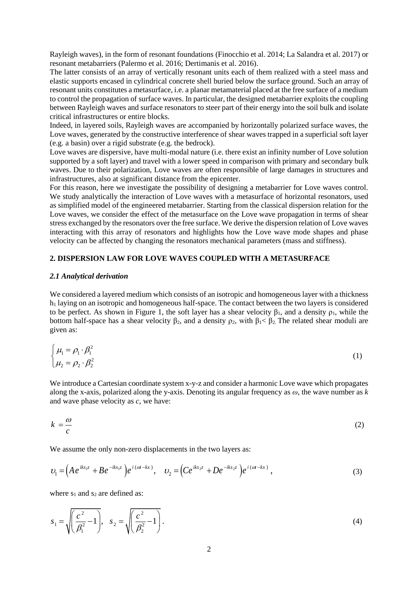Rayleigh waves), in the form of resonant foundations (Finocchio et al. 2014; La Salandra et al. 2017) or resonant metabarriers (Palermo et al. 2016; Dertimanis et al. 2016).

The latter consists of an array of vertically resonant units each of them realized with a steel mass and elastic supports encased in cylindrical concrete shell buried below the surface ground. Such an array of resonant units constitutes a metasurface, i.e. a planar metamaterial placed at the free surface of a medium to control the propagation of surface waves. In particular, the designed metabarrier exploits the coupling between Rayleigh waves and surface resonators to steer part of their energy into the soil bulk and isolate critical infrastructures or entire blocks.

Indeed, in layered soils, Rayleigh waves are accompanied by horizontally polarized surface waves, the Love waves, generated by the constructive interference of shear waves trapped in a superficial soft layer (e.g. a basin) over a rigid substrate (e.g. the bedrock).

Love waves are dispersive, have multi-modal nature (i.e. there exist an infinity number of Love solution supported by a soft layer) and travel with a lower speed in comparison with primary and secondary bulk waves. Due to their polarization, Love waves are often responsible of large damages in structures and infrastructures, also at significant distance from the epicenter.

For this reason, here we investigate the possibility of designing a metabarrier for Love waves control. We study analytically the interaction of Love waves with a metasurface of horizontal resonators, used as simplified model of the engineered metabarrier. Starting from the classical dispersion relation for the Love waves, we consider the effect of the metasurface on the Love wave propagation in terms of shear stress exchanged by the resonators over the free surface. We derive the dispersion relation of Love waves interacting with this array of resonators and highlights how the Love wave mode shapes and phase velocity can be affected by changing the resonators mechanical parameters (mass and stiffness).

## **2. DISPERSION LAW FOR LOVE WAVES COUPLED WITH A METASURFACE**

#### *2.1 Analytical derivation*

We considered a layered medium which consists of an isotropic and homogeneous layer with a thickness h<sup>1</sup> laying on an isotropic and homogeneous half-space. The contact between the two layers is considered to be perfect. As shown in Figure 1, the soft layer has a shear velocity  $\beta_1$ , and a density  $\rho_1$ , while the bottom half-space has a shear velocity  $\beta_2$ , and a density  $\rho_2$ , with  $\beta_1 < \beta_2$ . The related shear moduli are given as:

$$
\begin{cases}\n\mu_1 = \rho_1 \cdot \beta_1^2 \\
\mu_2 = \rho_2 \cdot \beta_2^2\n\end{cases}
$$
\n(1)

We introduce a Cartesian coordinate system x-y-z and consider a harmonic Love wave which propagates along the x-axis, polarized along the y-axis. Denoting its angular frequency as *ω*, the wave number as *k* and wave phase velocity as *c*, we have:

$$
k = -\frac{\omega}{c} \tag{2}
$$

We assume the only non-zero displacements in the two layers as:  
\n
$$
v_1 = \left( A e^{ik s_1 z} + B e^{-ik s_1 z} \right) e^{i (\alpha t - k x)}, \quad v_2 = \left( C e^{ik s_2 z} + D e^{-ik s_2 z} \right) e^{i (\alpha t - k x)},
$$
\n(3)

where  $s_1$  and  $s_2$  are defined as:

$$
s_1 = \sqrt{\left(\frac{c^2}{\beta_1^2} - 1\right)}, \quad s_2 = \sqrt{\left(\frac{c^2}{\beta_2^2} - 1\right)}.
$$
\n(4)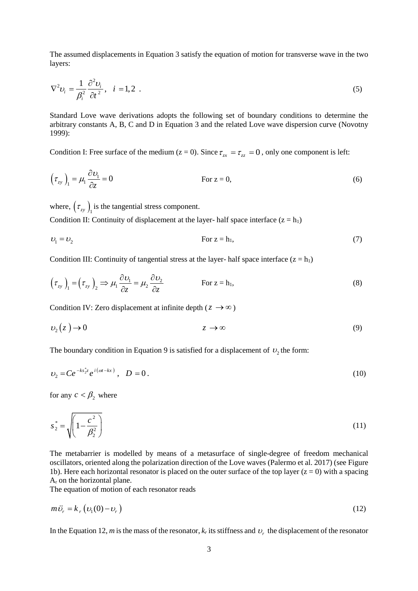The assumed displacements in Equation 3 satisfy the equation of motion for transverse wave in the two layers:

$$
\nabla^2 \nu_i = \frac{1}{\beta_i^2} \frac{\partial^2 \nu_i}{\partial t^2}, \quad i = 1, 2 \tag{5}
$$

Standard Love wave derivations adopts the following set of boundary conditions to determine the arbitrary constants A, B, C and D in Equation 3 and the related Love wave dispersion curve (Novotny 1999):

Condition I: Free surface of the medium ( $z = 0$ ). Since  $\tau_{zx} = \tau_{zz} = 0$ , only one component is left:

$$
\left(\tau_{zy}\right)_1 = \mu_1 \frac{\partial v_1}{\partial z} = 0
$$
 For  $z = 0$ , (6)

where,  $(\tau_{zy})$ <sub>1</sub> is the tangential stress component.

Condition II: Continuity of displacement at the layer- half space interface  $(z = h_1)$ 

$$
v_1 = v_2 \tag{7}
$$

Condition III: Continuity of tangential stress at the layer- half space interface  $(z = h_1)$ 

$$
\left(\tau_{zy}\right)_1 = \left(\tau_{zy}\right)_2 \implies \mu_1 \frac{\partial \nu_1}{\partial z} = \mu_2 \frac{\partial \nu_2}{\partial z}
$$
 For  $z = h_1$ , (8)

Condition IV: Zero displacement at infinite depth ( $z \rightarrow \infty$ )

$$
v_2(z) \to 0 \t z \to \infty \t (9)
$$

The boundary condition in Equation 9 is satisfied for a displacement of  $v_2$  the form:

$$
v_2 = Ce^{-ks_2^*z}e^{i(\omega t - kx)}, \quad D = 0.
$$
 (10)

for any  $c < \beta_2$  where

$$
s_2^* = \sqrt{\left(1 - \frac{c^2}{\beta_2^2}\right)}
$$
(11)

The metabarrier is modelled by means of a metasurface of single-degree of freedom mechanical oscillators, oriented along the polarization direction of the Love waves (Palermo et al. 2017) (see Figure 1b). Here each horizontal resonator is placed on the outer surface of the top layer  $(z = 0)$  with a spacing A<sup>r</sup> on the horizontal plane.

The equation of motion of each resonator reads

$$
m\ddot{\nu}_r = k_r \left( \nu_1(0) - \nu_r \right) \tag{12}
$$

In the Equation 12, *m* is the mass of the resonator,  $k_r$  its stiffness and  $v_r$  the displacement of the resonator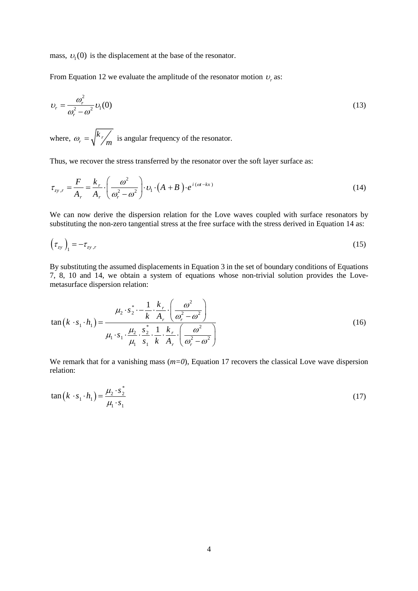mass,  $v_1(0)$  is the displacement at the base of the resonator.

From Equation 12 we evaluate the amplitude of the resonator motion  $v_r$  as:

$$
v_r = \frac{\omega_r^2}{\omega_r^2 - \omega^2} v_1(0)
$$
\n(13)

where,  $\omega_r = \sqrt{\frac{\kappa_r}{\lambda}}$ *k*  $\omega_r = \sqrt{\frac{k}{m}}$  is angular frequency of the resonator.

Thus, we recover the stress transferred by the resonator over the soft layer surface as:  
\n
$$
\tau_{zy,r} = \frac{F}{A_r} = \frac{k_r}{A_r} \cdot \left(\frac{\omega^2}{\omega_r^2 - \omega^2}\right) \cdot \nu_1 \cdot (A + B) \cdot e^{i(\omega t - kx)}
$$
\n(14)

We can now derive the dispersion relation for the Love waves coupled with surface resonators by substituting the non-zero tangential stress at the free surface with the stress derived in Equation 14 as:

$$
\left(\tau_{zy}\right)_1 = -\tau_{zy,r} \tag{15}
$$

By substituting the assumed displacements in Equation 3 in the set of boundary conditions of Equations 7, 8, 10 and 14, we obtain a system of equations whose non-trivial solution provides the Lovemetasurface dispersion relation:

measurable dispersion relation:  
\n
$$
\tan\left(k \cdot s_1 \cdot h_1\right) = \frac{\mu_2 \cdot s_2^* \cdot - \frac{1}{k} \cdot \frac{k_r}{A_r} \cdot \left(\frac{\omega^2}{\omega_r^2 - \omega^2}\right)}{\mu_1 \cdot s_1 \cdot \frac{\mu_2}{\mu_1} \cdot s_1^* \cdot \frac{1}{k} \cdot \frac{k_r}{A_r} \cdot \left(\frac{\omega^2}{\omega_r^2 - \omega^2}\right)}
$$
\n(16)

We remark that for a vanishing mass ( $m=0$ ), Equation 17 recovers the classical Love wave dispersion relation:

$$
\tan\left(k \cdot s_1 \cdot h_1\right) = \frac{\mu_2 \cdot s_2^*}{\mu_1 \cdot s_1} \tag{17}
$$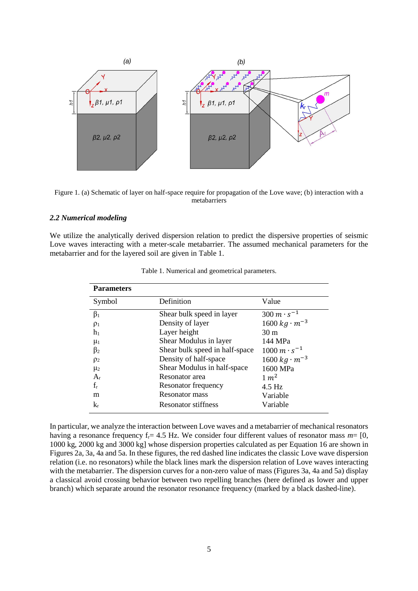

Figure 1. (a) Schematic of layer on half-space require for propagation of the Love wave; (b) interaction with a metabarriers

## *2.2 Numerical modeling*

We utilize the analytically derived dispersion relation to predict the dispersive properties of seismic Love waves interacting with a meter-scale metabarrier. The assumed mechanical parameters for the metabarrier and for the layered soil are given in Table 1.

| <b>Parameters</b> |                                |                         |
|-------------------|--------------------------------|-------------------------|
| Symbol            | Definition                     | Value                   |
| $\beta_1$         | Shear bulk speed in layer      | $300 \, m \cdot s^{-1}$ |
| $\rho_1$          | Density of layer               | $1600 kg \cdot m^{-3}$  |
| h <sub>1</sub>    | Layer height                   | 30 <sub>m</sub>         |
| $\mu_1$           | Shear Modulus in layer         | 144 MPa                 |
| $\beta_2$         | Shear bulk speed in half-space | $1000 m \cdot s^{-1}$   |
| $\rho_2$          | Density of half-space          | $1600 kg \cdot m^{-3}$  |
| $\mu_2$           | Shear Modulus in half-space    | 1600 MPa                |
| $A_{r}$           | Resonator area                 | $1 \, m^2$              |
| $f_r$             | Resonator frequency            | $4.5$ Hz                |
| m                 | Resonator mass                 | Variable                |
| $k_r$             | <b>Resonator stiffness</b>     | Variable                |

Table 1. Numerical and geometrical parameters.

In particular, we analyze the interaction between Love waves and a metabarrier of mechanical resonators having a resonance frequency f<sub>r</sub>= 4.5 Hz. We consider four different values of resonator mass  $m=$  [0, 1000 kg, 2000 kg and 3000 kg] whose dispersion properties calculated as per Equation 16 are shown in Figures 2a, 3a, 4a and 5a. In these figures, the red dashed line indicates the classic Love wave dispersion relation (i.e. no resonators) while the black lines mark the dispersion relation of Love waves interacting with the metabarrier. The dispersion curves for a non-zero value of mass (Figures 3a, 4a and 5a) display a classical avoid crossing behavior between two repelling branches (here defined as lower and upper branch) which separate around the resonator resonance frequency (marked by a black dashed-line).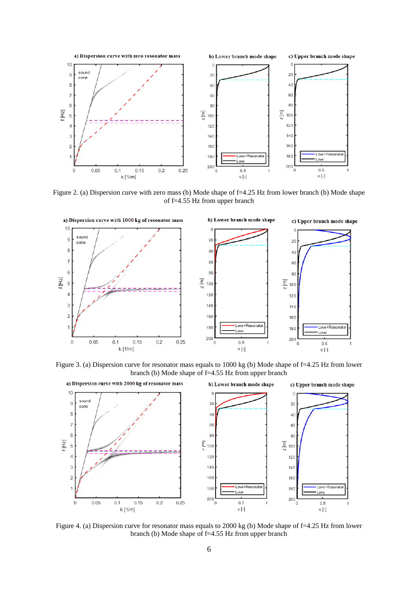

Figure 2. (a) Dispersion curve with zero mass (b) Mode shape of f=4.25 Hz from lower branch (b) Mode shape of f=4.55 Hz from upper branch



Figure 3. (a) Dispersion curve for resonator mass equals to 1000 kg (b) Mode shape of f=4.25 Hz from lower branch (b) Mode shape of f=4.55 Hz from upper branch



Figure 4. (a) Dispersion curve for resonator mass equals to 2000 kg (b) Mode shape of f=4.25 Hz from lower branch (b) Mode shape of f=4.55 Hz from upper branch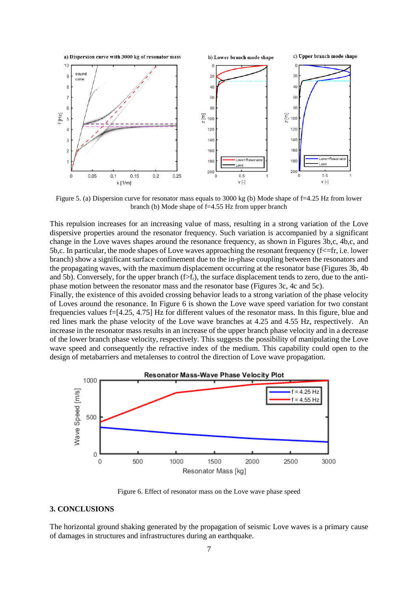

Figure 5. (a) Dispersion curve for resonator mass equals to 3000 kg (b) Mode shape of f=4.25 Hz from lower branch (b) Mode shape of f=4.55 Hz from upper branch

This repulsion increases for an increasing value of mass, resulting in a strong variation of the Love dispersive properties around the resonator frequency. Such variation is accompanied by a significant change in the Love waves shapes around the resonance frequency, as shown in Figures 3b,c, 4b,c, and 5b,c. In particular, the mode shapes of Love waves approaching the resonant frequency  $(f \leq f r, i.e.$  lower branch) show a significant surface confinement due to the in-phase coupling between the resonators and the propagating waves, with the maximum displacement occurring at the resonator base (Figures 3b, 4b and 5b). Conversely, for the upper branch  $(f>f_r)$ , the surface displacement tends to zero, due to the antiphase motion between the resonator mass and the resonator base (Figures 3c, 4c and 5c).

Finally, the existence of this avoided crossing behavior leads to a strong variation of the phase velocity of Loves around the resonance. In Figure 6 is shown the Love wave speed variation for two constant frequencies values f=[4.25, 4.75] Hz for different values of the resonator mass. In this figure, blue and red lines mark the phase velocity of the Love wave branches at 4.25 and 4.55 Hz, respectively. An increase in the resonator mass results in an increase of the upper branch phase velocity and in a decrease of the lower branch phase velocity, respectively. This suggests the possibility of manipulating the Love wave speed and consequently the refractive index of the medium. This capability could open to the design of metabarriers and metalenses to control the direction of Love wave propagation.



Figure 6. Effect of resonator mass on the Love wave phase speed

## **3. CONCLUSIONS**

The horizontal ground shaking generated by the propagation of seismic Love waves is a primary cause of damages in structures and infrastructures during an earthquake.